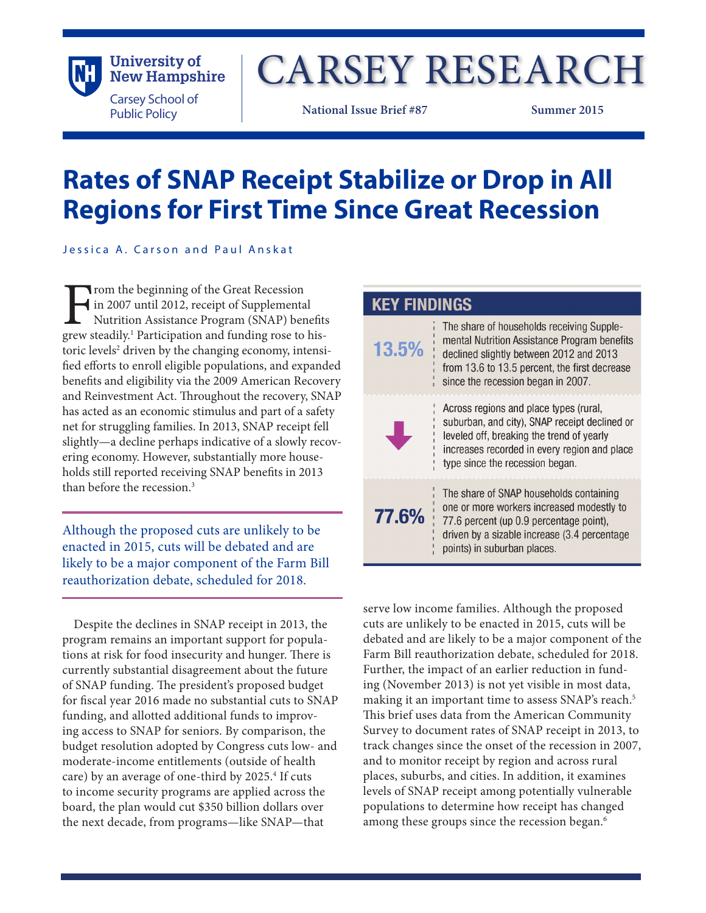

# CARSEY RESEARCH

**National Issue Brief #87 Summer 2015**

## **Rates of SNAP Receipt Stabilize or Drop in All Regions for First Time Since Great Recession**

Jessica A. Carson and Paul Anskat

From the beginning of the Great Recession<br>in 2007 until 2012, receipt of Supplementa<br>Nutrition Assistance Program (SNAP) ber<br>grew steadily.<sup>1</sup> Participation and funding rose to in 2007 until 2012, receipt of Supplemental Nutrition Assistance Program (SNAP) benefits grew steadily.<sup>1</sup> Participation and funding rose to historic levels<sup>2</sup> driven by the changing economy, intensified efforts to enroll eligible populations, and expanded benefits and eligibility via the 2009 American Recovery and Reinvestment Act. Throughout the recovery, SNAP has acted as an economic stimulus and part of a safety net for struggling families. In 2013, SNAP receipt fell slightly—a decline perhaps indicative of a slowly recovering economy. However, substantially more households still reported receiving SNAP benefits in 2013 than before the recession  $3$ 

Although the proposed cuts are unlikely to be enacted in 2015, cuts will be debated and are likely to be a major component of the Farm Bill reauthorization debate, scheduled for 2018.

Despite the declines in SNAP receipt in 2013, the program remains an important support for populations at risk for food insecurity and hunger. There is currently substantial disagreement about the future of SNAP funding. The president's proposed budget for fiscal year 2016 made no substantial cuts to SNAP funding, and allotted additional funds to improving access to SNAP for seniors. By comparison, the budget resolution adopted by Congress cuts low- and moderate-income entitlements (outside of health care) by an average of one-third by 2025.<sup>4</sup> If cuts to income security programs are applied across the board, the plan would cut \$350 billion dollars over the next decade, from programs—like SNAP—that

| <b>KEY FINDINGS</b> |                                                                                                                                                                                                                             |
|---------------------|-----------------------------------------------------------------------------------------------------------------------------------------------------------------------------------------------------------------------------|
| 13.5%               | The share of households receiving Supple-<br>mental Nutrition Assistance Program benefits<br>declined slightly between 2012 and 2013<br>from 13.6 to 13.5 percent, the first decrease<br>since the recession began in 2007. |
|                     | Across regions and place types (rural,<br>suburban, and city), SNAP receipt declined or<br>leveled off, breaking the trend of yearly<br>increases recorded in every region and place<br>type since the recession began.     |
| 77.6%               | The share of SNAP households containing<br>one or more workers increased modestly to<br>77.6 percent (up 0.9 percentage point),<br>driven by a sizable increase (3.4 percentage<br>points) in suburban places.              |

serve low income families. Although the proposed cuts are unlikely to be enacted in 2015, cuts will be debated and are likely to be a major component of the Farm Bill reauthorization debate, scheduled for 2018. Further, the impact of an earlier reduction in funding (November 2013) is not yet visible in most data, making it an important time to assess SNAP's reach.<sup>5</sup> This brief uses data from the American Community Survey to document rates of SNAP receipt in 2013, to track changes since the onset of the recession in 2007, and to monitor receipt by region and across rural places, suburbs, and cities. In addition, it examines levels of SNAP receipt among potentially vulnerable populations to determine how receipt has changed among these groups since the recession began.<sup>6</sup>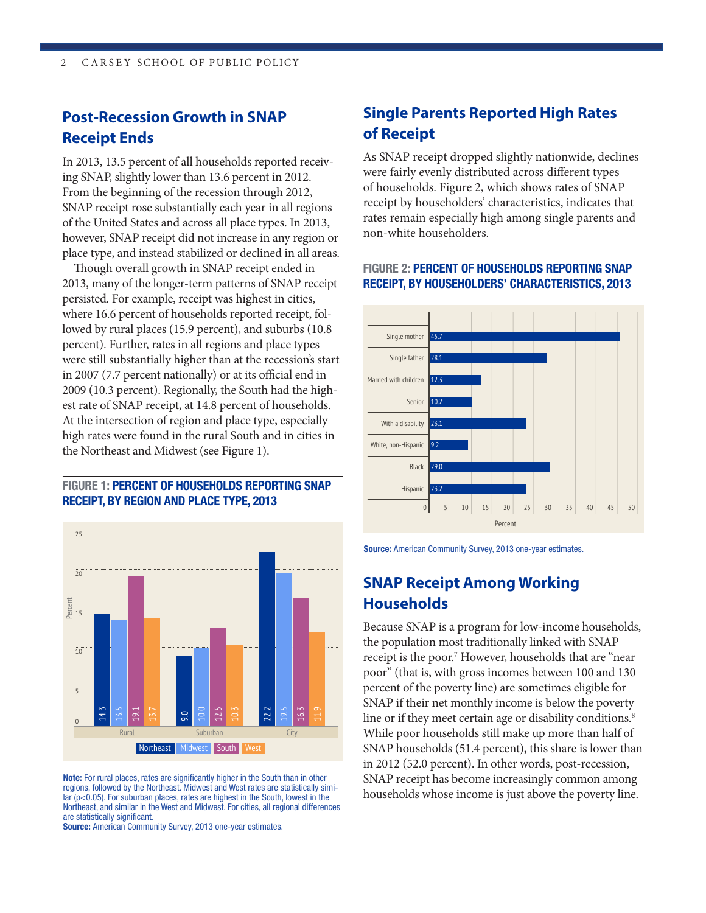### **Post-Recession Growth in SNAP Receipt Ends**

In 2013, 13.5 percent of all households reported receiving SNAP, slightly lower than 13.6 percent in 2012. From the beginning of the recession through 2012, SNAP receipt rose substantially each year in all regions of the United States and across all place types. In 2013, however, SNAP receipt did not increase in any region or place type, and instead stabilized or declined in all areas.

Though overall growth in SNAP receipt ended in 2013, many of the longer-term patterns of SNAP receipt persisted. For example, receipt was highest in cities, where 16.6 percent of households reported receipt, followed by rural places (15.9 percent), and suburbs (10.8 percent). Further, rates in all regions and place types were still substantially higher than at the recession's start in 2007 (7.7 percent nationally) or at its official end in 2009 (10.3 percent). Regionally, the South had the highest rate of SNAP receipt, at 14.8 percent of households. At the intersection of region and place type, especially high rates were found in the rural South and in cities in the Northeast and Midwest (see Figure 1).

#### FIGURE 1: PERCENT OF HOUSEHOLDS REPORTING SNAP RECEIPT, BY REGION AND PLACE TYPE, 2013



Northeast, and similar in the West and Midwest. For cities, all regional differences Note: For rural places, rates are significantly higher in the South than in other regions, followed by the Northeast. Midwest and West rates are statistically simi $ar$  ( $p$ <0.05). For suburban places, rates are highest in the South, lowest in the are statistically significant.

Source: American Community Survey, 2013 one-year estimates.

## **Single Parents Reported High Rates**  20 **of Receipt**

As SNAP receipt dropped slightly nationwide, declines were fairly evenly distributed across different types of households. Figure 2, which shows rates of SNAP receipt by householders' characteristics, indicates that rates remain especially high among single parents and 5 non-white householders.

#### RECEIPT, BY HOUSEHOLDERS' CHARACTERISTICS, 2013 FIGURE 2: PERCENT OF HOUSEHOLDS REPORTING SNAP



**Source:** American Community Survey, 2013 one-year estimates.

## 19,000 **Households SNAP Receipt Among Working**

SNAP households (51.4 percent), this share is lower than While poor households still make up more than half of line or if they meet certain age or disability conditions.<sup>8</sup> 16,500 percent of the poverty line) are sometimes eligible for poor" (that is, with gross incomes between 100 and 130 receipt is the poor.<sup>7</sup> However, households that are "near 18,000 the population most traditionally linked with SNAP in 2012 (52.0 percent). In other words, post-recession, Because SNAP is a program for low-income households, SNAP if their net monthly income is below the poverty SNAP receipt has become increasingly common among households whose income is just above the poverty line.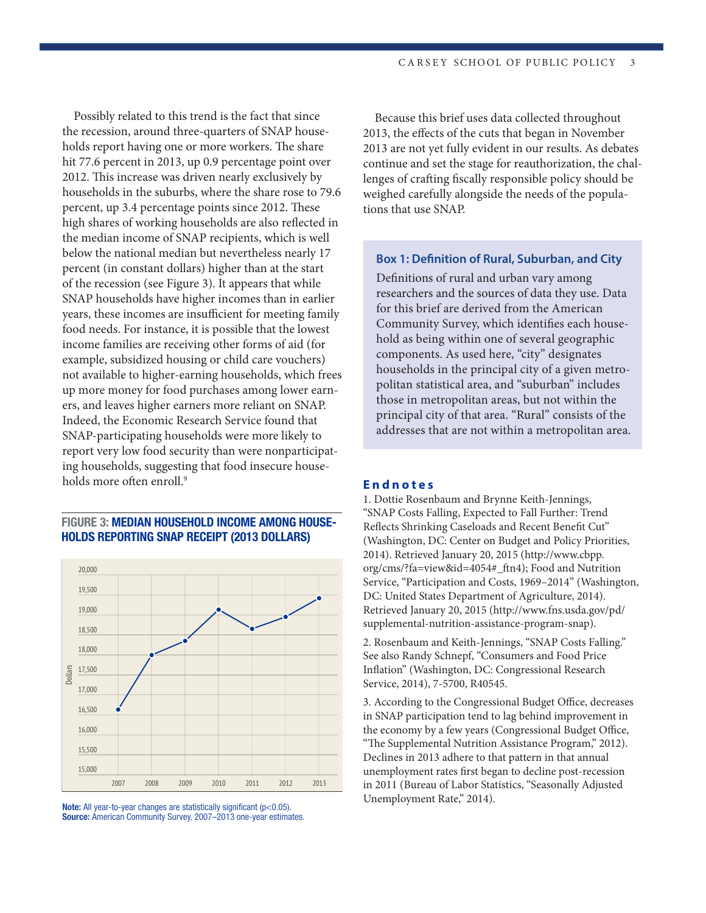Possibly related to this trend is the fact that since the recession, around three-quarters of SNAP households report having one or more workers. The share holds report having one or more workers. The share<br>hit 77.6 percent in 2013, up 0.9 percentage point over 2012. This increase was driven nearly exclusively by households in the suburbs, where the share rose to 79.6 10 percent, up 3.4 percentage points since 2012. These high shares of working households are also reflected in the median income of SNAP recipients, which is well below the national median but nevertheless nearly 17 percent (in constant dollars) higher than at the start of the recession (see Figure 3). It appears that while SNAP households have higher incomes than in earlier years, these incomes are insufficient for meeting family food needs. For instance, it is possible that the lowest income families are receiving other forms of aid (for example, subsidized housing or child care vouchers) not available to higher-earning households, which frees up more money for food purchases among lower earners, and leaves higher earners more reliant on SNAP. Indeed, the Economic Research Service found that SNAP-participating households were more likely to report very low food security than were nonparticipating households, suggesting that food insecure households more often enroll.<sup>9</sup>

#### FIGURE 3: MEDIAN HOUSEHOLD INCOME AMONG HOUSE-HOLDS REPORTING SNAP RECEIPT (2013 DOLLARS)



Note: All year-to-year changes are statistically significant (p<0.05). Source: American Community Survey, 2007–2013 one-year estimates.

Because this brief uses data collected throughout 2013, the effects of the cuts that began in November 2013 are not yet fully evident in our results. As debates continue and set the stage for reauthorization, the challenges of crafting fiscally responsible policy should be weighed carefully alongside the needs of the populations that use SNAP.

#### **Box 1: Definition of Rural, Suburban, and City**

Definitions of rural and urban vary among researchers and the sources of data they use. Data for this brief are derived from the American Community Survey, which identifies each household as being within one of several geographic components. As used here, "city" designates households in the principal city of a given metropolitan statistical area, and "suburban" includes those in metropolitan areas, but not within the principal city of that area. "Rural" consists of the addresses that are not within a metropolitan area.

#### **Endnotes**

1. Dottie Rosenbaum and Brynne Keith-Jennings, "SNAP Costs Falling, Expected to Fall Further: Trend Reflects Shrinking Caseloads and Recent Benefit Cut" (Washington, DC: Center on Budget and Policy Priorities, 2014). Retrieved January 20, 2015 (http://www.cbpp. org/cms/?fa=view&id=4054#\_ftn4); Food and Nutrition Service, "Participation and Costs, 1969–2014" (Washington, DC: United States Department of Agriculture, 2014). Retrieved January 20, 2015 (http://www.fns.usda.gov/pd/ supplemental-nutrition-assistance-program-snap).

2. Rosenbaum and Keith-Jennings, "SNAP Costs Falling." See also Randy Schnepf, "Consumers and Food Price Inflation" (Washington, DC: Congressional Research Service, 2014), 7-5700, R40545.

3. According to the Congressional Budget Office, decreases in SNAP participation tend to lag behind improvement in the economy by a few years (Congressional Budget Office, "The Supplemental Nutrition Assistance Program," 2012). Declines in 2013 adhere to that pattern in that annual unemployment rates first began to decline post-recession in 2011 (Bureau of Labor Statistics, "Seasonally Adjusted Unemployment Rate," 2014).